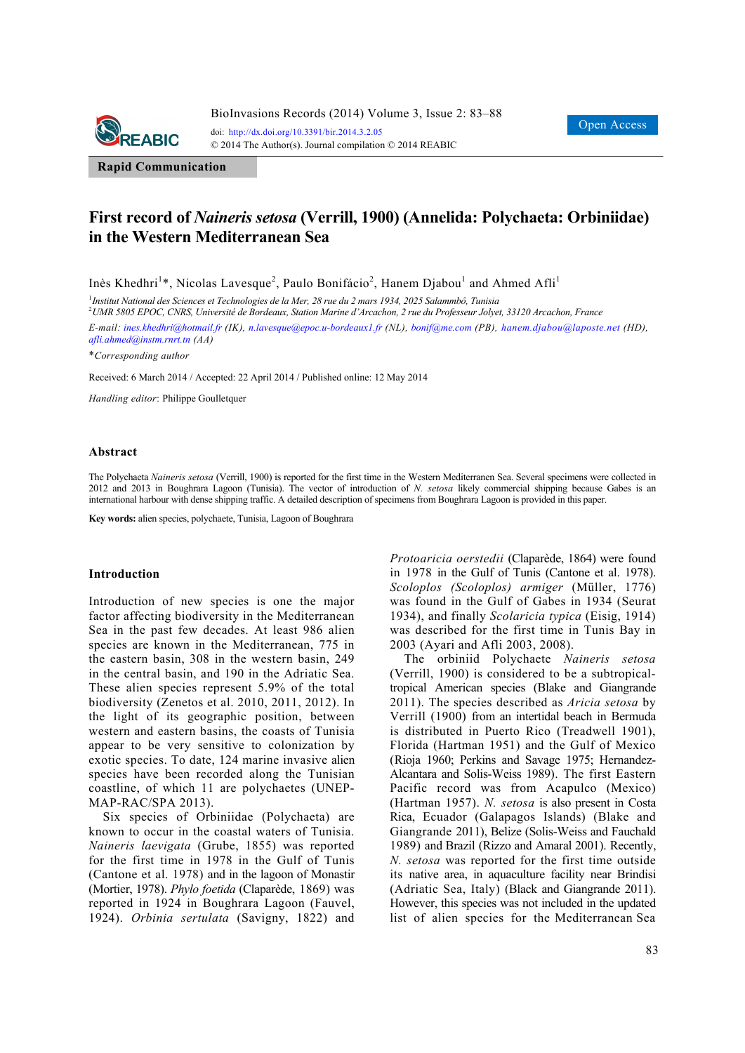

**Rapid Communication**

# **First record of** *Naineris setosa* **(Verrill, 1900) (Annelida: Polychaeta: Orbiniidae) in the Western Mediterranean Sea**

Inès Khedhri<sup>1</sup>\*, Nicolas Lavesque<sup>2</sup>, Paulo Bonifácio<sup>2</sup>, Hanem Djabou<sup>1</sup> and Ahmed Afli<sup>1</sup>

1 *Institut National des Sciences et Technologies de la Mer, 28 rue du 2 mars 1934, 2025 Salammbô, Tunisia* 

2 *UMR 5805 EPOC, CNRS, Université de Bordeaux, Station Marine d'Arcachon, 2 rue du Professeur Jolyet, 33120 Arcachon, France* 

*E-mail: ines.khedhri@hotmail.fr (IK), n.lavesque@epoc.u-bordeaux1.fr (NL), bonif@me.com (PB), hanem.djabou@laposte.net (HD), afli.ahmed@instm.rnrt.tn (AA)*

\**Corresponding author* 

Received: 6 March 2014 / Accepted: 22 April 2014 / Published online: 12 May 2014

*Handling editor*: Philippe Goulletquer

#### **Abstract**

The Polychaeta *Naineris setosa* (Verrill, 1900) is reported for the first time in the Western Mediterranen Sea. Several specimens were collected in 2012 and 2013 in Boughrara Lagoon (Tunisia). The vector of introduction of *N. setosa* likely commercial shipping because Gabes is an international harbour with dense shipping traffic. A detailed description of specimens from Boughrara Lagoon is provided in this paper.

**Key words:** alien species, polychaete, Tunisia, Lagoon of Boughrara

#### **Introduction**

Introduction of new species is one the major factor affecting biodiversity in the Mediterranean Sea in the past few decades. At least 986 alien species are known in the Mediterranean, 775 in the eastern basin, 308 in the western basin, 249 in the central basin, and 190 in the Adriatic Sea. These alien species represent 5.9% of the total biodiversity (Zenetos et al. 2010, 2011, 2012). In the light of its geographic position, between western and eastern basins, the coasts of Tunisia appear to be very sensitive to colonization by exotic species. To date, 124 marine invasive alien species have been recorded along the Tunisian coastline, of which 11 are polychaetes (UNEP-MAP-RAC/SPA 2013).

Six species of Orbiniidae (Polychaeta) are known to occur in the coastal waters of Tunisia. *Naineris laevigata* (Grube, 1855) was reported for the first time in 1978 in the Gulf of Tunis (Cantone et al. 1978) and in the lagoon of Monastir (Mortier, 1978). *Phylo foetida* (Claparède, 1869) was reported in 1924 in Boughrara Lagoon (Fauvel, 1924). *Orbinia sertulata* (Savigny, 1822) and *Protoaricia oerstedii* (Claparède, 1864) were found in 1978 in the Gulf of Tunis (Cantone et al. 1978). *Scoloplos (Scoloplos) armiger* (Müller, 1776) was found in the Gulf of Gabes in 1934 (Seurat 1934), and finally *Scolaricia typica* (Eisig, 1914) was described for the first time in Tunis Bay in 2003 (Ayari and Afli 2003, 2008).

The orbiniid Polychaete *Naineris setosa*  (Verrill, 1900) is considered to be a subtropicaltropical American species (Blake and Giangrande 2011). The species described as *Aricia setosa* by Verrill (1900) from an intertidal beach in Bermuda is distributed in Puerto Rico (Treadwell 1901), Florida (Hartman 1951) and the Gulf of Mexico (Rioja 1960; Perkins and Savage 1975; Hernandez-Alcantara and Solis-Weiss 1989). The first Eastern Pacific record was from Acapulco (Mexico) (Hartman 1957). *N. setosa* is also present in Costa Rica, Ecuador (Galapagos Islands) (Blake and Giangrande 2011), Belize (Solis-Weiss and Fauchald 1989) and Brazil (Rizzo and Amaral 2001). Recently, *N. setosa* was reported for the first time outside its native area, in aquaculture facility near Brindisi (Adriatic Sea, Italy) (Black and Giangrande 2011). However, this species was not included in the updated list of alien species for the Mediterranean Sea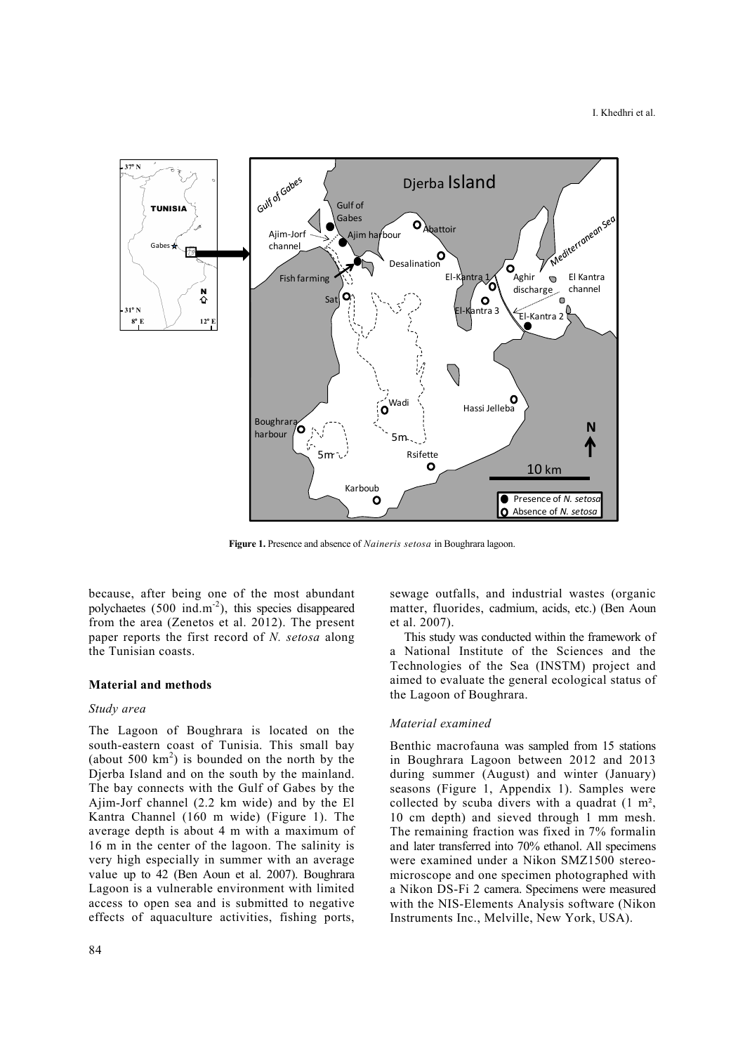

**Figure 1.** Presence and absence of *Naineris setosa* in Boughrara lagoon.

because, after being one of the most abundant polychaetes  $(500 \text{ ind.m}^2)$ , this species disappeared from the area (Zenetos et al. 2012). The present paper reports the first record of *N. setosa* along the Tunisian coasts.

## **Material and methods**

## *Study area*

The Lagoon of Boughrara is located on the south-eastern coast of Tunisia. This small bay (about 500  $km^2$ ) is bounded on the north by the Djerba Island and on the south by the mainland. The bay connects with the Gulf of Gabes by the Ajim-Jorf channel (2.2 km wide) and by the El Kantra Channel (160 m wide) (Figure 1). The average depth is about 4 m with a maximum of 16 m in the center of the lagoon. The salinity is very high especially in summer with an average value up to 42 (Ben Aoun et al. 2007). Boughrara Lagoon is a vulnerable environment with limited access to open sea and is submitted to negative effects of aquaculture activities, fishing ports,

84

sewage outfalls, and industrial wastes (organic matter, fluorides, cadmium, acids, etc.) (Ben Aoun et al. 2007).

This study was conducted within the framework of a National Institute of the Sciences and the Technologies of the Sea (INSTM) project and aimed to evaluate the general ecological status of the Lagoon of Boughrara.

# *Material examined*

Benthic macrofauna was sampled from 15 stations in Boughrara Lagoon between 2012 and 2013 during summer (August) and winter (January) seasons (Figure 1, Appendix 1). Samples were collected by scuba divers with a quadrat  $(1 \text{ m}^2)$ , 10 cm depth) and sieved through 1 mm mesh. The remaining fraction was fixed in 7% formalin and later transferred into 70% ethanol. All specimens were examined under a Nikon SMZ1500 stereomicroscope and one specimen photographed with a Nikon DS-Fi 2 camera. Specimens were measured with the NIS-Elements Analysis software (Nikon Instruments Inc., Melville, New York, USA).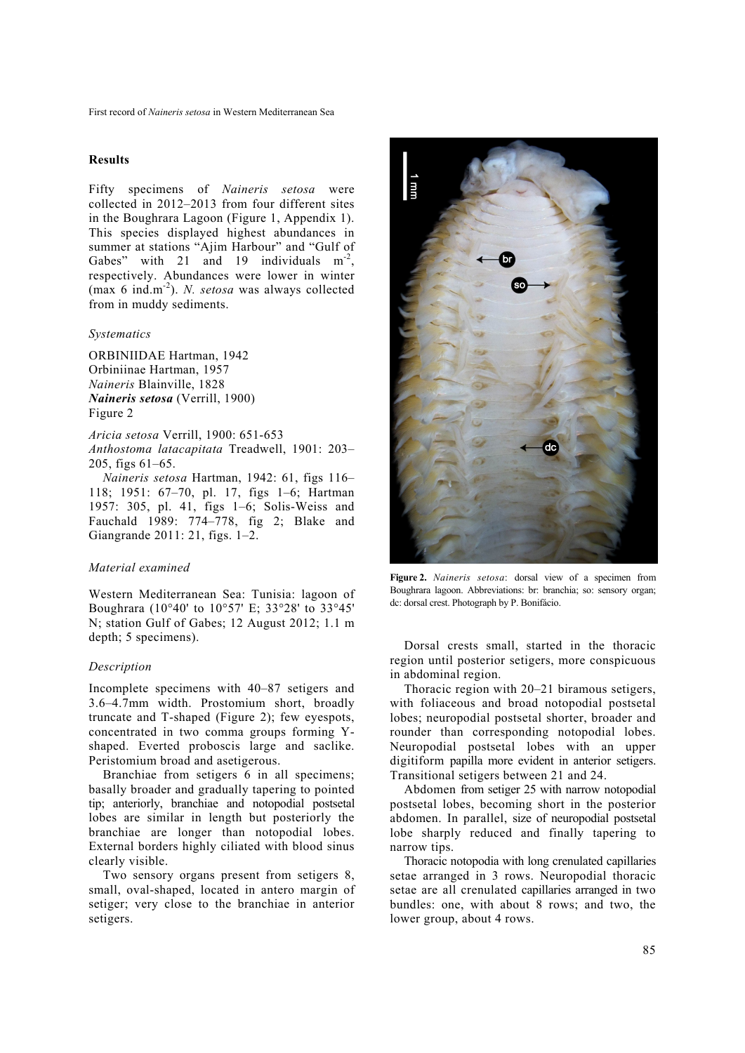## **Results**

Fifty specimens of *Naineris setosa* were collected in 2012–2013 from four different sites in the Boughrara Lagoon (Figure 1, Appendix 1). This species displayed highest abundances in summer at stations "Ajim Harbour" and "Gulf of Gabes" with 21 and 19 individuals  $m<sup>2</sup>$ , respectively. Abundances were lower in winter (max 6 ind.m-2). *N. setosa* was always collected from in muddy sediments.

#### *Systematics*

ORBINIIDAE Hartman, 1942 Orbiniinae Hartman, 1957 *Naineris* Blainville, 1828 *Naineris setosa* (Verrill, 1900) Figure 2

*Aricia setosa* Verrill, 1900: 651-653 *Anthostoma latacapitata* Treadwell, 1901: 203– 205, figs 61–65.

*Naineris setosa* Hartman, 1942: 61, figs 116– 118; 1951: 67–70, pl. 17, figs 1–6; Hartman 1957: 305, pl. 41, figs 1–6; Solis-Weiss and Fauchald 1989: 774–778, fig 2; Blake and Giangrande 2011: 21, figs. 1–2.

## *Material examined*

Western Mediterranean Sea: Tunisia: lagoon of Boughrara (10°40' to 10°57' E; 33°28' to 33°45' N; station Gulf of Gabes; 12 August 2012; 1.1 m depth; 5 specimens).

## *Description*

Incomplete specimens with 40–87 setigers and 3.6–4.7mm width. Prostomium short, broadly truncate and T-shaped (Figure 2); few eyespots, concentrated in two comma groups forming Yshaped. Everted proboscis large and saclike. Peristomium broad and asetigerous.

Branchiae from setigers 6 in all specimens; basally broader and gradually tapering to pointed tip; anteriorly, branchiae and notopodial postsetal lobes are similar in length but posteriorly the branchiae are longer than notopodial lobes. External borders highly ciliated with blood sinus clearly visible.

Two sensory organs present from setigers 8, small, oval-shaped, located in antero margin of setiger; very close to the branchiae in anterior setigers.



**Figure 2.** *Naineris setosa*: dorsal view of a specimen from Boughrara lagoon. Abbreviations: br: branchia; so: sensory organ; dc: dorsal crest. Photograph by P. Bonifácio.

Dorsal crests small, started in the thoracic region until posterior setigers, more conspicuous in abdominal region.

Thoracic region with 20–21 biramous setigers, with foliaceous and broad notopodial postsetal lobes; neuropodial postsetal shorter, broader and rounder than corresponding notopodial lobes. Neuropodial postsetal lobes with an upper digitiform papilla more evident in anterior setigers. Transitional setigers between 21 and 24.

Abdomen from setiger 25 with narrow notopodial postsetal lobes, becoming short in the posterior abdomen. In parallel, size of neuropodial postsetal lobe sharply reduced and finally tapering to narrow tips.

Thoracic notopodia with long crenulated capillaries setae arranged in 3 rows. Neuropodial thoracic setae are all crenulated capillaries arranged in two bundles: one, with about 8 rows; and two, the lower group, about 4 rows.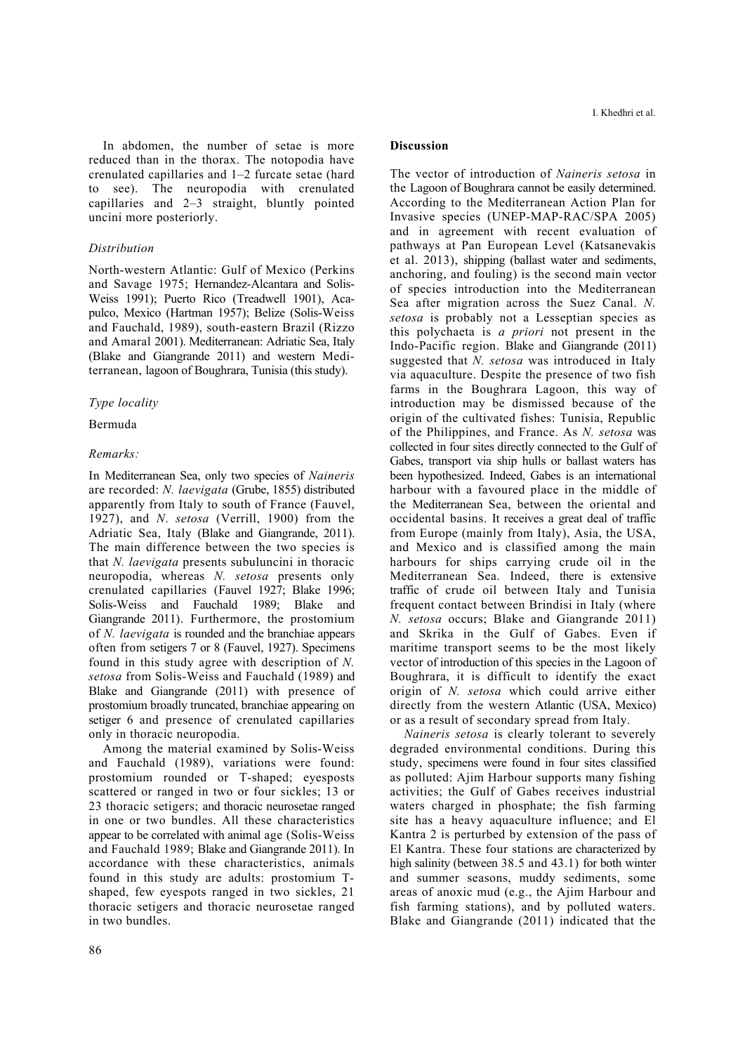In abdomen, the number of setae is more reduced than in the thorax. The notopodia have crenulated capillaries and 1–2 furcate setae (hard to see). The neuropodia with crenulated capillaries and 2–3 straight, bluntly pointed uncini more posteriorly.

# *Distribution*

North-western Atlantic: Gulf of Mexico (Perkins and Savage 1975; Hernandez-Alcantara and Solis-Weiss 1991); Puerto Rico (Treadwell 1901), Acapulco, Mexico (Hartman 1957); Belize (Solis-Weiss and Fauchald, 1989), south-eastern Brazil (Rizzo and Amaral 2001). Mediterranean: Adriatic Sea, Italy (Blake and Giangrande 2011) and western Mediterranean, lagoon of Boughrara, Tunisia (this study).

# *Type locality*

## Bermuda

# *Remarks:*

In Mediterranean Sea, only two species of *Naineris* are recorded: *N. laevigata* (Grube, 1855) distributed apparently from Italy to south of France (Fauvel, 1927), and *N*. *setosa* (Verrill, 1900) from the Adriatic Sea, Italy (Blake and Giangrande, 2011). The main difference between the two species is that *N. laevigata* presents subuluncini in thoracic neuropodia, whereas *N. setosa* presents only crenulated capillaries (Fauvel 1927; Blake 1996; Solis-Weiss and Fauchald 1989; Blake and Giangrande 2011). Furthermore, the prostomium of *N. laevigata* is rounded and the branchiae appears often from setigers 7 or 8 (Fauvel, 1927). Specimens found in this study agree with description of *N. setosa* from Solis-Weiss and Fauchald (1989) and Blake and Giangrande (2011) with presence of prostomium broadly truncated, branchiae appearing on setiger 6 and presence of crenulated capillaries only in thoracic neuropodia.

Among the material examined by Solis-Weiss and Fauchald (1989), variations were found: prostomium rounded or T-shaped; eyesposts scattered or ranged in two or four sickles; 13 or 23 thoracic setigers; and thoracic neurosetae ranged in one or two bundles. All these characteristics appear to be correlated with animal age (Solis-Weiss and Fauchald 1989; Blake and Giangrande 2011). In accordance with these characteristics, animals found in this study are adults: prostomium Tshaped, few eyespots ranged in two sickles, 21 thoracic setigers and thoracic neurosetae ranged in two bundles.

## **Discussion**

The vector of introduction of *Naineris setosa* in the Lagoon of Boughrara cannot be easily determined. According to the Mediterranean Action Plan for Invasive species (UNEP-MAP-RAC/SPA 2005) and in agreement with recent evaluation of pathways at Pan European Level (Katsanevakis et al. 2013), shipping (ballast water and sediments, anchoring, and fouling) is the second main vector of species introduction into the Mediterranean Sea after migration across the Suez Canal. *N. setosa* is probably not a Lesseptian species as this polychaeta is *a priori* not present in the Indo-Pacific region. Blake and Giangrande (2011) suggested that *N. setosa* was introduced in Italy via aquaculture. Despite the presence of two fish farms in the Boughrara Lagoon, this way of introduction may be dismissed because of the origin of the cultivated fishes: Tunisia, Republic of the Philippines, and France. As *N. setosa* was collected in four sites directly connected to the Gulf of Gabes, transport via ship hulls or ballast waters has been hypothesized. Indeed, Gabes is an international harbour with a favoured place in the middle of the Mediterranean Sea, between the oriental and occidental basins. It receives a great deal of traffic from Europe (mainly from Italy), Asia, the USA, and Mexico and is classified among the main harbours for ships carrying crude oil in the Mediterranean Sea. Indeed, there is extensive traffic of crude oil between Italy and Tunisia frequent contact between Brindisi in Italy (where *N. setosa* occurs; Blake and Giangrande 2011) and Skrika in the Gulf of Gabes. Even if maritime transport seems to be the most likely vector of introduction of this species in the Lagoon of Boughrara, it is difficult to identify the exact origin of *N. setosa* which could arrive either directly from the western Atlantic (USA, Mexico) or as a result of secondary spread from Italy.

*Naineris setosa* is clearly tolerant to severely degraded environmental conditions. During this study, specimens were found in four sites classified as polluted: Ajim Harbour supports many fishing activities; the Gulf of Gabes receives industrial waters charged in phosphate; the fish farming site has a heavy aquaculture influence; and El Kantra 2 is perturbed by extension of the pass of El Kantra. These four stations are characterized by high salinity (between 38.5 and 43.1) for both winter and summer seasons, muddy sediments, some areas of anoxic mud (e.g., the Ajim Harbour and fish farming stations), and by polluted waters. Blake and Giangrande (2011) indicated that the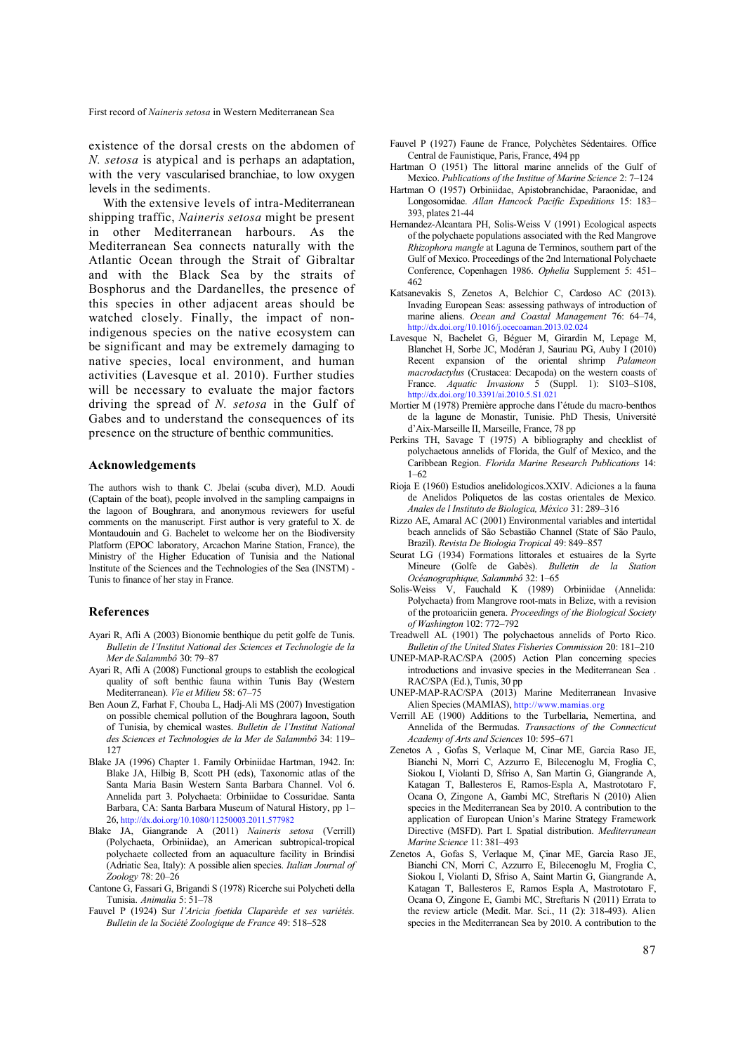existence of the dorsal crests on the abdomen of *N. setosa* is atypical and is perhaps an adaptation, with the very vascularised branchiae, to low oxygen levels in the sediments.

With the extensive levels of intra-Mediterranean shipping traffic, *Naineris setosa* might be present in other Mediterranean harbours. As the Mediterranean Sea connects naturally with the Atlantic Ocean through the Strait of Gibraltar and with the Black Sea by the straits of Bosphorus and the Dardanelles, the presence of this species in other adjacent areas should be watched closely. Finally, the impact of nonindigenous species on the native ecosystem can be significant and may be extremely damaging to native species, local environment, and human activities (Lavesque et al. 2010). Further studies will be necessary to evaluate the major factors driving the spread of *N. setosa* in the Gulf of Gabes and to understand the consequences of its presence on the structure of benthic communities.

#### **Acknowledgements**

The authors wish to thank C. Jbelai (scuba diver), M.D. Aoudi (Captain of the boat), people involved in the sampling campaigns in the lagoon of Boughrara, and anonymous reviewers for useful comments on the manuscript. First author is very grateful to X. de Montaudouin and G. Bachelet to welcome her on the Biodiversity Platform (EPOC laboratory, Arcachon Marine Station, France), the Ministry of the Higher Education of Tunisia and the National Institute of the Sciences and the Technologies of the Sea (INSTM) - Tunis to finance of her stay in France.

#### **References**

- Ayari R, Afli A (2003) Bionomie benthique du petit golfe de Tunis. *Bulletin de l'Institut National des Sciences et Technologie de la Mer de Salammbô* 30: 79–87
- Ayari R, Afli A (2008) Functional groups to establish the ecological quality of soft benthic fauna within Tunis Bay (Western Mediterranean). *Vie et Milieu* 58: 67–75
- Ben Aoun Z, Farhat F, Chouba L, Hadj-Ali MS (2007) Investigation on possible chemical pollution of the Boughrara lagoon, South of Tunisia, by chemical wastes. *Bulletin de l'Institut National des Sciences et Technologies de la Mer de Salammbô* 34: 119– 127
- Blake JA (1996) Chapter 1. Family Orbiniidae Hartman, 1942. In: Blake JA, Hilbig B, Scott PH (eds), Taxonomic atlas of the Santa Maria Basin Western Santa Barbara Channel. Vol 6. Annelida part 3. Polychaeta: Orbiniidae to Cossuridae. Santa Barbara, CA: Santa Barbara Museum of Natural History, pp 1– 26, http://dx.doi.org/10.1080/11250003.2011.577982
- Blake JA, Giangrande A (2011) *Naineris setosa* (Verrill) (Polychaeta, Orbiniidae), an American subtropical-tropical polychaete collected from an aquaculture facility in Brindisi (Adriatic Sea, Italy): A possible alien species. *Italian Journal of Zoology* 78: 20–26
- Cantone G, Fassari G, Brigandi S (1978) Ricerche sui Polycheti della Tunisia. *Animalia* 5: 51–78
- Fauvel P (1924) Sur *l'Aricia foetida Claparède et ses variétés. Bulletin de la Société Zoologique de France* 49: 518–528
- Fauvel P (1927) Faune de France, Polychètes Sédentaires. Office Central de Faunistique, Paris, France, 494 pp
- Hartman O (1951) The littoral marine annelids of the Gulf of Mexico. *Publications of the Institue of Marine Science* 2: 7–124
- Hartman O (1957) Orbiniidae, Apistobranchidae, Paraonidae, and Longosomidae. *Allan Hancock Pacific Expeditions* 15: 183– 393, plates 21-44
- Hernandez-Alcantara PH, Solis-Weiss V (1991) Ecological aspects of the polychaete populations associated with the Red Mangrove *Rhizophora mangle* at Laguna de Terminos, southern part of the Gulf of Mexico. Proceedings of the 2nd International Polychaete Conference, Copenhagen 1986. *Ophelia* Supplement 5: 451– 462
- Katsanevakis S, Zenetos A, Belchior C, Cardoso AC (2013). Invading European Seas: assessing pathways of introduction of marine aliens. *Ocean and Coastal Management* 76: 64–74, http://dx.doi.org/10.1016/j.ocecoaman.2013.02.024
- Lavesque N, Bachelet G, Béguer M, Girardin M, Lepage M, Blanchet H, Sorbe JC, Modéran J, Sauriau PG, Auby I (2010) Recent expansion of the oriental shrimp *Palameon macrodactylus* (Crustacea: Decapoda) on the western coasts of France. *Aquatic Invasions* 5 (Suppl. 1): S103–S108, http://dx.doi.org/10.3391/ai.2010.5.S1.021
- Mortier M (1978) Première approche dans l'étude du macro-benthos de la lagune de Monastir, Tunisie. PhD Thesis, Université d'Aix-Marseille II, Marseille, France, 78 pp
- Perkins TH, Savage T (1975) A bibliography and checklist of polychaetous annelids of Florida, the Gulf of Mexico, and the Caribbean Region. *Florida Marine Research Publications* 14: 1–62
- Rioja E (1960) Estudios anelidologicos.XXIV. Adiciones a la fauna de Anelidos Poliquetos de las costas orientales de Mexico. *Anales de l Instituto de Biologica, México* 31: 289–316
- Rizzo AE, Amaral AC (2001) Environmental variables and intertidal beach annelids of São Sebastião Channel (State of São Paulo, Brazil). *Revista De Biologia Tropical* 49: 849–857
- Seurat LG (1934) Formations littorales et estuaires de la Syrte Mineure (Golfe de Gabès). *Bulletin de la Station Océanographique, Salammbô* 32: 1–65
- Solis-Weiss V, Fauchald K (1989) Orbiniidae (Annelida: Polychaeta) from Mangrove root-mats in Belize, with a revision of the protoariciin genera. *Proceedings of the Biological Society of Washington* 102: 772–792
- Treadwell AL (1901) The polychaetous annelids of Porto Rico. *Bulletin of the United States Fisheries Commission* 20: 181–210
- UNEP-MAP-RAC/SPA (2005) Action Plan concerning species introductions and invasive species in the Mediterranean Sea . RAC/SPA (Ed.), Tunis, 30 pp
- UNEP-MAP-RAC/SPA (2013) Marine Mediterranean Invasive Alien Species (MAMIAS), http://www.mamias.org
- Verrill AE (1900) Additions to the Turbellaria, Nemertina, and Annelida of the Bermudas. *Transactions of the Connecticut Academy of Arts and Sciences* 10: 595–671
- Zenetos A , Gofas S, Verlaque M, Cinar ME, Garcia Raso JE, Bianchi N, Morri C, Azzurro E, Bilecenoglu M, Froglia C, Siokou I, Violanti D, Sfriso A, San Martin G, Giangrande A, Katagan T, Ballesteros E, Ramos-Espla A, Mastrototaro F, Ocana O, Zingone A, Gambi MC, Streftaris N (2010) Alien species in the Mediterranean Sea by 2010. A contribution to the application of European Union's Marine Strategy Framework Directive (MSFD). Part I. Spatial distribution. *Mediterranean Marine Science* 11: 381–493
- Zenetos A, Gofas S, Verlaque M, Çinar ME, Garcia Raso JE, Bianchi CN, Morri C, Azzurro E, Bilecenoglu M, Froglia C, Siokou I, Violanti D, Sfriso A, Saint Martin G, Giangrande A, Katagan T, Ballesteros E, Ramos Espla A, Mastrototaro F, Ocana O, Zingone E, Gambi MC, Streftaris N (2011) Errata to the review article (Medit. Mar. Sci., 11 (2): 318-493). Alien species in the Mediterranean Sea by 2010. A contribution to the